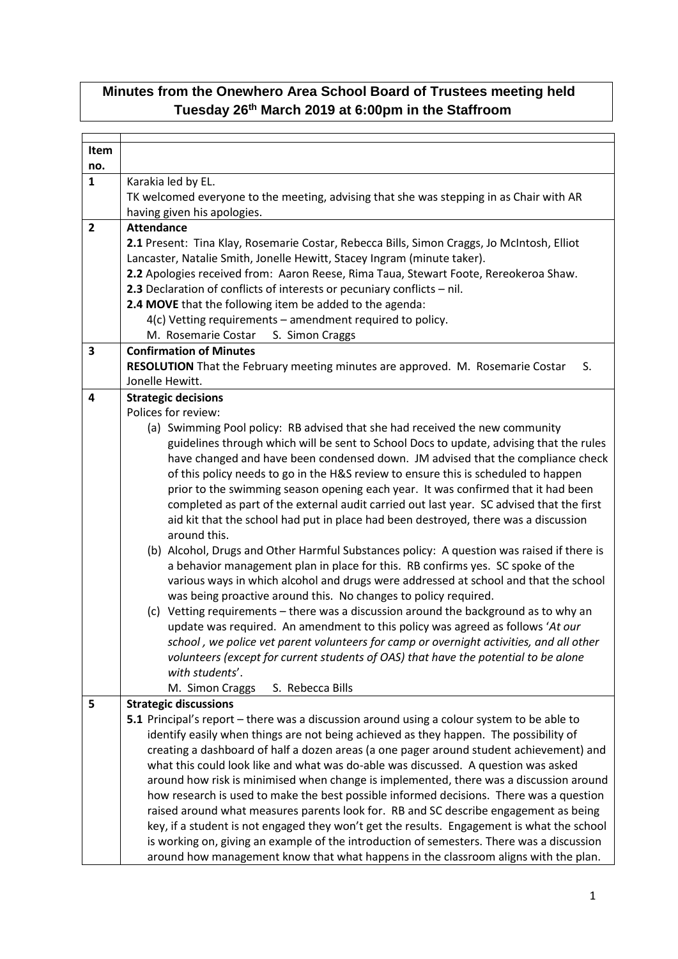## **Minutes from the Onewhero Area School Board of Trustees meeting held Tuesday 26th March 2019 at 6:00pm in the Staffroom**

| <b>Item</b><br>no. |                                                                                                     |
|--------------------|-----------------------------------------------------------------------------------------------------|
|                    |                                                                                                     |
| $\mathbf{1}$       | Karakia led by EL.                                                                                  |
|                    | TK welcomed everyone to the meeting, advising that she was stepping in as Chair with AR             |
|                    | having given his apologies.                                                                         |
| $\overline{2}$     | <b>Attendance</b>                                                                                   |
|                    | 2.1 Present: Tina Klay, Rosemarie Costar, Rebecca Bills, Simon Craggs, Jo McIntosh, Elliot          |
|                    | Lancaster, Natalie Smith, Jonelle Hewitt, Stacey Ingram (minute taker).                             |
|                    | 2.2 Apologies received from: Aaron Reese, Rima Taua, Stewart Foote, Rereokeroa Shaw.                |
|                    | 2.3 Declaration of conflicts of interests or pecuniary conflicts - nil.                             |
|                    | 2.4 MOVE that the following item be added to the agenda:                                            |
|                    | 4(c) Vetting requirements - amendment required to policy.                                           |
|                    | M. Rosemarie Costar<br>S. Simon Craggs                                                              |
| 3                  | <b>Confirmation of Minutes</b>                                                                      |
|                    | RESOLUTION That the February meeting minutes are approved. M. Rosemarie Costar<br>S.                |
|                    | Jonelle Hewitt.                                                                                     |
| 4                  | <b>Strategic decisions</b>                                                                          |
|                    | Polices for review:                                                                                 |
|                    | (a) Swimming Pool policy: RB advised that she had received the new community                        |
|                    | guidelines through which will be sent to School Docs to update, advising that the rules             |
|                    | have changed and have been condensed down. JM advised that the compliance check                     |
|                    | of this policy needs to go in the H&S review to ensure this is scheduled to happen                  |
|                    | prior to the swimming season opening each year. It was confirmed that it had been                   |
|                    | completed as part of the external audit carried out last year. SC advised that the first            |
|                    |                                                                                                     |
|                    | aid kit that the school had put in place had been destroyed, there was a discussion<br>around this. |
|                    |                                                                                                     |
|                    | (b) Alcohol, Drugs and Other Harmful Substances policy: A question was raised if there is           |
|                    | a behavior management plan in place for this. RB confirms yes. SC spoke of the                      |
|                    | various ways in which alcohol and drugs were addressed at school and that the school                |
|                    | was being proactive around this. No changes to policy required.                                     |
|                    | (c) Vetting requirements - there was a discussion around the background as to why an                |
|                    | update was required. An amendment to this policy was agreed as follows 'At our                      |
|                    | school, we police vet parent volunteers for camp or overnight activities, and all other             |
|                    | volunteers (except for current students of OAS) that have the potential to be alone                 |
|                    | with students'.                                                                                     |
|                    | S. Rebecca Bills<br>M. Simon Craggs                                                                 |
| 5                  | <b>Strategic discussions</b>                                                                        |
|                    | 5.1 Principal's report – there was a discussion around using a colour system to be able to          |
|                    | identify easily when things are not being achieved as they happen. The possibility of               |
|                    | creating a dashboard of half a dozen areas (a one pager around student achievement) and             |
|                    | what this could look like and what was do-able was discussed. A question was asked                  |
|                    | around how risk is minimised when change is implemented, there was a discussion around              |
|                    | how research is used to make the best possible informed decisions. There was a question             |
|                    | raised around what measures parents look for. RB and SC describe engagement as being                |
|                    | key, if a student is not engaged they won't get the results. Engagement is what the school          |
|                    | is working on, giving an example of the introduction of semesters. There was a discussion           |
|                    | around how management know that what happens in the classroom aligns with the plan.                 |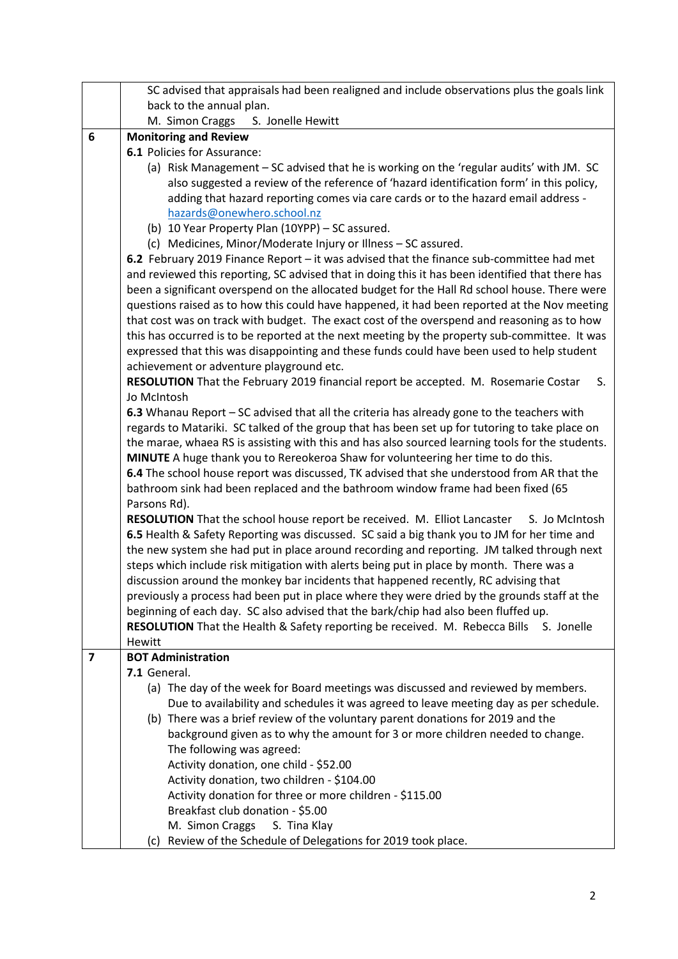|                         | SC advised that appraisals had been realigned and include observations plus the goals link                     |
|-------------------------|----------------------------------------------------------------------------------------------------------------|
|                         | back to the annual plan.                                                                                       |
|                         | M. Simon Craggs S. Jonelle Hewitt                                                                              |
| 6                       | <b>Monitoring and Review</b>                                                                                   |
|                         | 6.1 Policies for Assurance:                                                                                    |
|                         | (a) Risk Management - SC advised that he is working on the 'regular audits' with JM. SC                        |
|                         | also suggested a review of the reference of 'hazard identification form' in this policy,                       |
|                         | adding that hazard reporting comes via care cards or to the hazard email address -                             |
|                         | hazards@onewhero.school.nz                                                                                     |
|                         | (b) 10 Year Property Plan (10YPP) - SC assured.                                                                |
|                         | (c) Medicines, Minor/Moderate Injury or Illness - SC assured.                                                  |
|                         | 6.2 February 2019 Finance Report - it was advised that the finance sub-committee had met                       |
|                         | and reviewed this reporting, SC advised that in doing this it has been identified that there has               |
|                         | been a significant overspend on the allocated budget for the Hall Rd school house. There were                  |
|                         | questions raised as to how this could have happened, it had been reported at the Nov meeting                   |
|                         | that cost was on track with budget. The exact cost of the overspend and reasoning as to how                    |
|                         | this has occurred is to be reported at the next meeting by the property sub-committee. It was                  |
|                         | expressed that this was disappointing and these funds could have been used to help student                     |
|                         | achievement or adventure playground etc.                                                                       |
|                         | RESOLUTION That the February 2019 financial report be accepted. M. Rosemarie Costar<br>S.                      |
|                         | Jo McIntosh                                                                                                    |
|                         | 6.3 Whanau Report - SC advised that all the criteria has already gone to the teachers with                     |
|                         | regards to Matariki. SC talked of the group that has been set up for tutoring to take place on                 |
|                         | the marae, whaea RS is assisting with this and has also sourced learning tools for the students.               |
|                         | MINUTE A huge thank you to Rereokeroa Shaw for volunteering her time to do this.                               |
|                         | 6.4 The school house report was discussed, TK advised that she understood from AR that the                     |
|                         | bathroom sink had been replaced and the bathroom window frame had been fixed (65                               |
|                         | Parsons Rd).                                                                                                   |
|                         | RESOLUTION That the school house report be received. M. Elliot Lancaster<br>S. Jo McIntosh                     |
|                         | 6.5 Health & Safety Reporting was discussed. SC said a big thank you to JM for her time and                    |
|                         | the new system she had put in place around recording and reporting. JM talked through next                     |
|                         | steps which include risk mitigation with alerts being put in place by month. There was a                       |
|                         | discussion around the monkey bar incidents that happened recently, RC advising that                            |
|                         | previously a process had been put in place where they were dried by the grounds staff at the                   |
|                         |                                                                                                                |
|                         | beginning of each day. SC also advised that the bark/chip had also been fluffed up.                            |
|                         | <b>RESOLUTION</b> That the Health & Safety reporting be received. M. Rebecca Bills S. Jonelle<br><b>Hewitt</b> |
| $\overline{\mathbf{z}}$ | <b>BOT Administration</b>                                                                                      |
|                         | 7.1 General.                                                                                                   |
|                         | (a) The day of the week for Board meetings was discussed and reviewed by members.                              |
|                         | Due to availability and schedules it was agreed to leave meeting day as per schedule.                          |
|                         |                                                                                                                |
|                         | (b) There was a brief review of the voluntary parent donations for 2019 and the                                |
|                         | background given as to why the amount for 3 or more children needed to change.                                 |
|                         | The following was agreed:                                                                                      |
|                         | Activity donation, one child - \$52.00                                                                         |
|                         | Activity donation, two children - \$104.00                                                                     |
|                         | Activity donation for three or more children - \$115.00                                                        |
|                         | Breakfast club donation - \$5.00                                                                               |
|                         | M. Simon Craggs<br>S. Tina Klay                                                                                |
|                         | (c) Review of the Schedule of Delegations for 2019 took place.                                                 |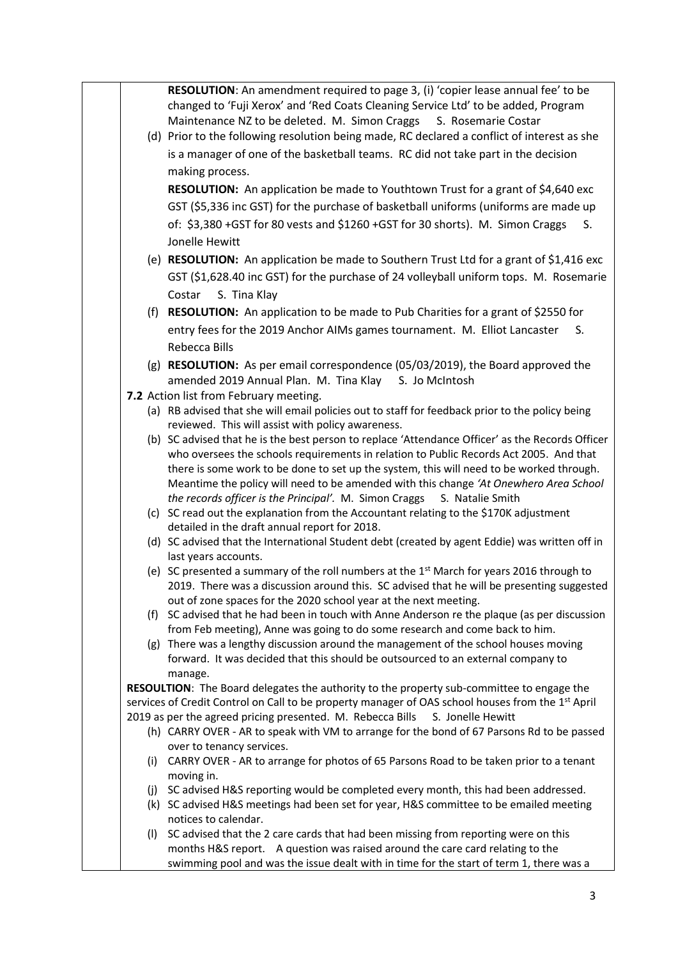|     | RESOLUTION: An amendment required to page 3, (i) 'copier lease annual fee' to be                              |
|-----|---------------------------------------------------------------------------------------------------------------|
|     | changed to 'Fuji Xerox' and 'Red Coats Cleaning Service Ltd' to be added, Program                             |
|     | Maintenance NZ to be deleted. M. Simon Craggs<br>S. Rosemarie Costar                                          |
|     |                                                                                                               |
|     | (d) Prior to the following resolution being made, RC declared a conflict of interest as she                   |
|     | is a manager of one of the basketball teams. RC did not take part in the decision                             |
|     | making process.                                                                                               |
|     | RESOLUTION: An application be made to Youthtown Trust for a grant of \$4,640 exc                              |
|     | GST (\$5,336 inc GST) for the purchase of basketball uniforms (uniforms are made up                           |
|     | of: \$3,380 +GST for 80 vests and \$1260 +GST for 30 shorts). M. Simon Craggs<br>S.                           |
|     | Jonelle Hewitt                                                                                                |
|     |                                                                                                               |
|     | (e) RESOLUTION: An application be made to Southern Trust Ltd for a grant of \$1,416 exc                       |
|     | GST (\$1,628.40 inc GST) for the purchase of 24 volleyball uniform tops. M. Rosemarie                         |
|     | Costar<br>S. Tina Klay                                                                                        |
|     | (f) RESOLUTION: An application to be made to Pub Charities for a grant of \$2550 for                          |
|     | entry fees for the 2019 Anchor AIMs games tournament. M. Elliot Lancaster<br>S.                               |
|     | Rebecca Bills                                                                                                 |
|     | (g) RESOLUTION: As per email correspondence (05/03/2019), the Board approved the                              |
|     | amended 2019 Annual Plan. M. Tina Klay S. Jo McIntosh                                                         |
|     | 7.2 Action list from February meeting.                                                                        |
|     | (a) RB advised that she will email policies out to staff for feedback prior to the policy being               |
|     | reviewed. This will assist with policy awareness.                                                             |
|     | (b) SC advised that he is the best person to replace 'Attendance Officer' as the Records Officer              |
|     | who oversees the schools requirements in relation to Public Records Act 2005. And that                        |
|     | there is some work to be done to set up the system, this will need to be worked through.                      |
|     | Meantime the policy will need to be amended with this change 'At Onewhero Area School                         |
|     | the records officer is the Principal'. M. Simon Craggs S. Natalie Smith                                       |
|     | (c) SC read out the explanation from the Accountant relating to the \$170K adjustment                         |
|     | detailed in the draft annual report for 2018.                                                                 |
|     | (d) SC advised that the International Student debt (created by agent Eddie) was written off in                |
|     | last years accounts.                                                                                          |
|     | (e) SC presented a summary of the roll numbers at the $1st$ March for years 2016 through to                   |
|     | 2019. There was a discussion around this. SC advised that he will be presenting suggested                     |
|     | out of zone spaces for the 2020 school year at the next meeting.                                              |
|     | (f) SC advised that he had been in touch with Anne Anderson re the plaque (as per discussion                  |
|     | from Feb meeting), Anne was going to do some research and come back to him.                                   |
|     | (g) There was a lengthy discussion around the management of the school houses moving                          |
|     | forward. It was decided that this should be outsourced to an external company to                              |
|     | manage.<br>RESOULTION: The Board delegates the authority to the property sub-committee to engage the          |
|     | services of Credit Control on Call to be property manager of OAS school houses from the 1 <sup>st</sup> April |
|     | 2019 as per the agreed pricing presented. M. Rebecca Bills<br>S. Jonelle Hewitt                               |
|     | (h) CARRY OVER - AR to speak with VM to arrange for the bond of 67 Parsons Rd to be passed                    |
|     | over to tenancy services.                                                                                     |
| (i) | CARRY OVER - AR to arrange for photos of 65 Parsons Road to be taken prior to a tenant                        |
|     | moving in.                                                                                                    |
| (j) | SC advised H&S reporting would be completed every month, this had been addressed.                             |
|     | (k) SC advised H&S meetings had been set for year, H&S committee to be emailed meeting                        |
|     | notices to calendar.                                                                                          |
| (1) | SC advised that the 2 care cards that had been missing from reporting were on this                            |
|     | months H&S report. A question was raised around the care card relating to the                                 |
|     | swimming pool and was the issue dealt with in time for the start of term 1, there was a                       |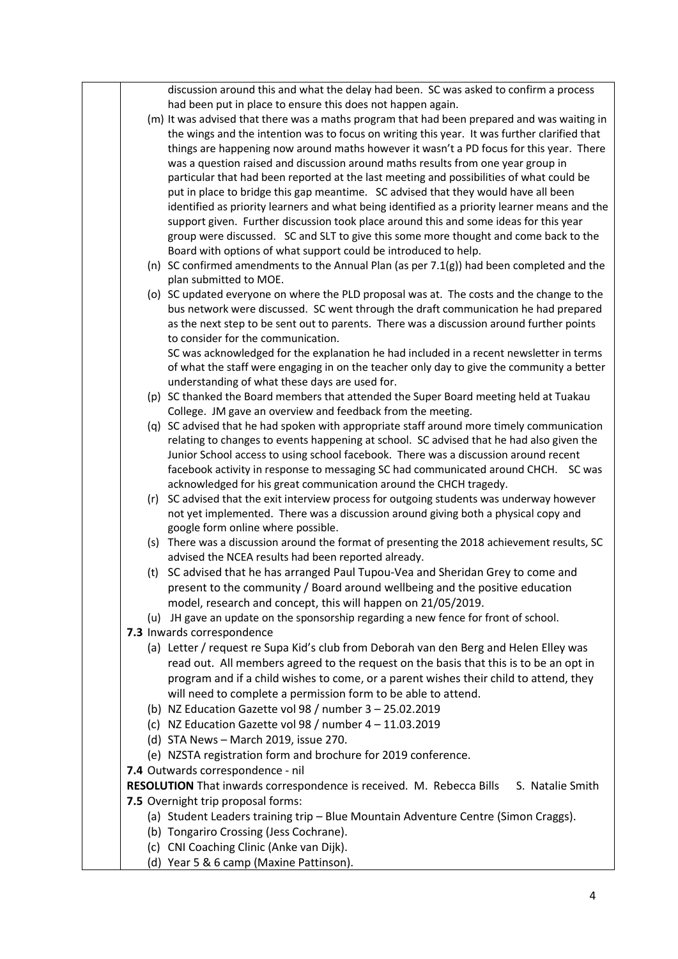|  | discussion around this and what the delay had been. SC was asked to confirm a process         |
|--|-----------------------------------------------------------------------------------------------|
|  | had been put in place to ensure this does not happen again.                                   |
|  | (m) It was advised that there was a maths program that had been prepared and was waiting in   |
|  | the wings and the intention was to focus on writing this year. It was further clarified that  |
|  | things are happening now around maths however it wasn't a PD focus for this year. There       |
|  | was a question raised and discussion around maths results from one year group in              |
|  | particular that had been reported at the last meeting and possibilities of what could be      |
|  | put in place to bridge this gap meantime. SC advised that they would have all been            |
|  | identified as priority learners and what being identified as a priority learner means and the |
|  | support given. Further discussion took place around this and some ideas for this year         |
|  | group were discussed. SC and SLT to give this some more thought and come back to the          |
|  | Board with options of what support could be introduced to help.                               |
|  | (n) SC confirmed amendments to the Annual Plan (as per 7.1(g)) had been completed and the     |
|  | plan submitted to MOE.                                                                        |
|  | (o) SC updated everyone on where the PLD proposal was at. The costs and the change to the     |
|  | bus network were discussed. SC went through the draft communication he had prepared           |
|  | as the next step to be sent out to parents. There was a discussion around further points      |
|  | to consider for the communication.                                                            |
|  | SC was acknowledged for the explanation he had included in a recent newsletter in terms       |
|  | of what the staff were engaging in on the teacher only day to give the community a better     |
|  | understanding of what these days are used for.                                                |
|  | (p) SC thanked the Board members that attended the Super Board meeting held at Tuakau         |
|  | College. JM gave an overview and feedback from the meeting.                                   |
|  | (q) SC advised that he had spoken with appropriate staff around more timely communication     |
|  | relating to changes to events happening at school. SC advised that he had also given the      |
|  | Junior School access to using school facebook. There was a discussion around recent           |
|  | facebook activity in response to messaging SC had communicated around CHCH. SC was            |
|  | acknowledged for his great communication around the CHCH tragedy.                             |
|  | (r) SC advised that the exit interview process for outgoing students was underway however     |
|  | not yet implemented. There was a discussion around giving both a physical copy and            |
|  | google form online where possible.                                                            |
|  | (s) There was a discussion around the format of presenting the 2018 achievement results, SC   |
|  | advised the NCEA results had been reported already.                                           |
|  | (t) SC advised that he has arranged Paul Tupou-Vea and Sheridan Grey to come and              |
|  | present to the community / Board around wellbeing and the positive education                  |
|  | model, research and concept, this will happen on 21/05/2019.                                  |
|  | (u) JH gave an update on the sponsorship regarding a new fence for front of school.           |
|  | 7.3 Inwards correspondence                                                                    |
|  | (a) Letter / request re Supa Kid's club from Deborah van den Berg and Helen Elley was         |
|  | read out. All members agreed to the request on the basis that this is to be an opt in         |
|  | program and if a child wishes to come, or a parent wishes their child to attend, they         |
|  | will need to complete a permission form to be able to attend.                                 |
|  | (b) NZ Education Gazette vol 98 / number $3 - 25.02.2019$                                     |
|  | (c) NZ Education Gazette vol 98 / number $4 - 11.03.2019$                                     |
|  | (d) STA News - March 2019, issue 270.                                                         |
|  | (e) NZSTA registration form and brochure for 2019 conference.                                 |
|  | 7.4 Outwards correspondence - nil                                                             |
|  | RESOLUTION That inwards correspondence is received. M. Rebecca Bills S. Natalie Smith         |
|  | 7.5 Overnight trip proposal forms:                                                            |
|  | (a) Student Leaders training trip - Blue Mountain Adventure Centre (Simon Craggs).            |
|  | (b) Tongariro Crossing (Jess Cochrane).                                                       |
|  | (c) CNI Coaching Clinic (Anke van Dijk).                                                      |
|  | (d) Year 5 & 6 camp (Maxine Pattinson).                                                       |